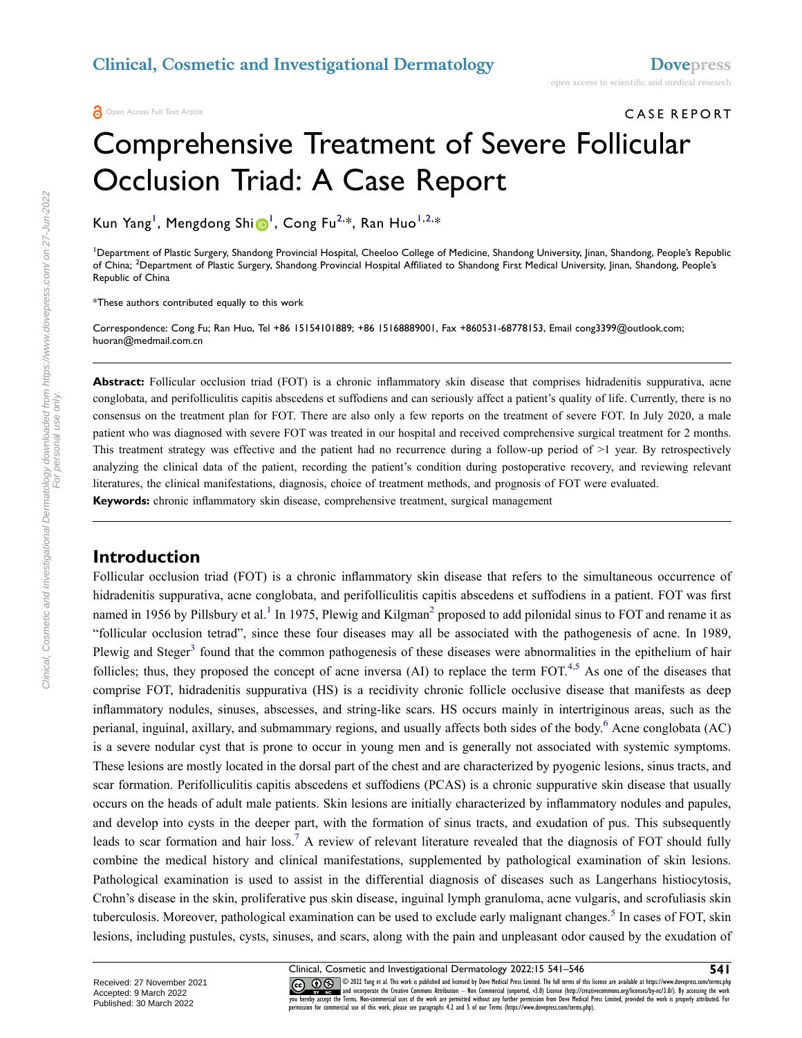# CASE REPORT Comprehensive Treatment of Severe Follicular Occlusion Triad: A Case Report

Kun Yang<sup>[1](#page-0-0)</sup>, Mengdong Shi D<sup>1</sup>, Cong Fu<sup>[2,](#page-0-1)\*</sup>, Ran Huo<sup>[1,](#page-0-0)2,</sup>\*

<span id="page-0-1"></span><span id="page-0-0"></span>1 Department of Plastic Surgery, Shandong Provincial Hospital, Cheeloo College of Medicine, Shandong University, Jinan, Shandong, People's Republic of China; <sup>2</sup>Department of Plastic Surgery, Shandong Provincial Hospital Affiliated to Shandong First Medical University, Jinan, Shandong, People's Republic of China

\*These authors contributed equally to this work

Correspondence: Cong Fu; Ran Huo, Tel +86 15154101889; +86 15168889001, Fax +860531-68778153, Email cong3399@outlook.com; huoran@medmail.com.cn

**Abstract:** Follicular occlusion triad (FOT) is a chronic inflammatory skin disease that comprises hidradenitis suppurativa, acne conglobata, and perifolliculitis capitis abscedens et suffodiens and can seriously affect a patient's quality of life. Currently, there is no consensus on the treatment plan for FOT. There are also only a few reports on the treatment of severe FOT. In July 2020, a male patient who was diagnosed with severe FOT was treated in our hospital and received comprehensive surgical treatment for 2 months. This treatment strategy was effective and the patient had no recurrence during a follow-up period of >1 year. By retrospectively analyzing the clinical data of the patient, recording the patient's condition during postoperative recovery, and reviewing relevant literatures, the clinical manifestations, diagnosis, choice of treatment methods, and prognosis of FOT were evaluated. **Keywords:** chronic inflammatory skin disease, comprehensive treatment, surgical management

#### **Introduction**

<span id="page-0-6"></span><span id="page-0-4"></span><span id="page-0-3"></span><span id="page-0-2"></span>Follicular occlusion triad (FOT) is a chronic inflammatory skin disease that refers to the simultaneous occurrence of hidradenitis suppurativa, acne conglobata, and perifolliculitis capitis abscedens et suffodiens in a patient. FOT was first named in [1](#page-4-0)956 by Pillsbury et al.<sup>1</sup> In 1975, Plewig and Kilgman<sup>2</sup> proposed to add pilonidal sinus to FOT and rename it as "follicular occlusion tetrad", since these four diseases may all be associated with the pathogenesis of acne. In 1989, Plewig and Steger<sup>[3](#page-4-2)</sup> found that the common pathogenesis of these diseases were abnormalities in the epithelium of hair follicles; thus, they proposed the concept of acne inversa (AI) to replace the term  $FOT<sup>4,5</sup>$  $FOT<sup>4,5</sup>$  $FOT<sup>4,5</sup>$  $FOT<sup>4,5</sup>$ . As one of the diseases that comprise FOT, hidradenitis suppurativa (HS) is a recidivity chronic follicle occlusive disease that manifests as deep inflammatory nodules, sinuses, abscesses, and string-like scars. HS occurs mainly in intertriginous areas, such as the perianal, inguinal, axillary, and submammary regions, and usually affects both sides of the body.<sup>[6](#page-5-0)</sup> Acne conglobata (AC) is a severe nodular cyst that is prone to occur in young men and is generally not associated with systemic symptoms. These lesions are mostly located in the dorsal part of the chest and are characterized by pyogenic lesions, sinus tracts, and scar formation. Perifolliculitis capitis abscedens et suffodiens (PCAS) is a chronic suppurative skin disease that usually occurs on the heads of adult male patients. Skin lesions are initially characterized by inflammatory nodules and papules, and develop into cysts in the deeper part, with the formation of sinus tracts, and exudation of pus. This subsequently leads to scar formation and hair loss.<sup>[7](#page-5-1)</sup> A review of relevant literature revealed that the diagnosis of FOT should fully combine the medical history and clinical manifestations, supplemented by pathological examination of skin lesions. Pathological examination is used to assist in the differential diagnosis of diseases such as Langerhans histiocytosis, Crohn's disease in the skin, proliferative pus skin disease, inguinal lymph granuloma, acne vulgaris, and scrofuliasis skin tuberculosis. Moreover, pathological examination can be used to exclude early malignant changes.<sup>[5](#page-4-4)</sup> In cases of FOT, skin lesions, including pustules, cysts, sinuses, and scars, along with the pain and unpleasant odor caused by the exudation of

Clinical, Cosmetic and Investigational Dermatology downloaded from https://www.dovepress.com/ on 27-Jun-2022 For personal use only.

<span id="page-0-7"></span><span id="page-0-5"></span>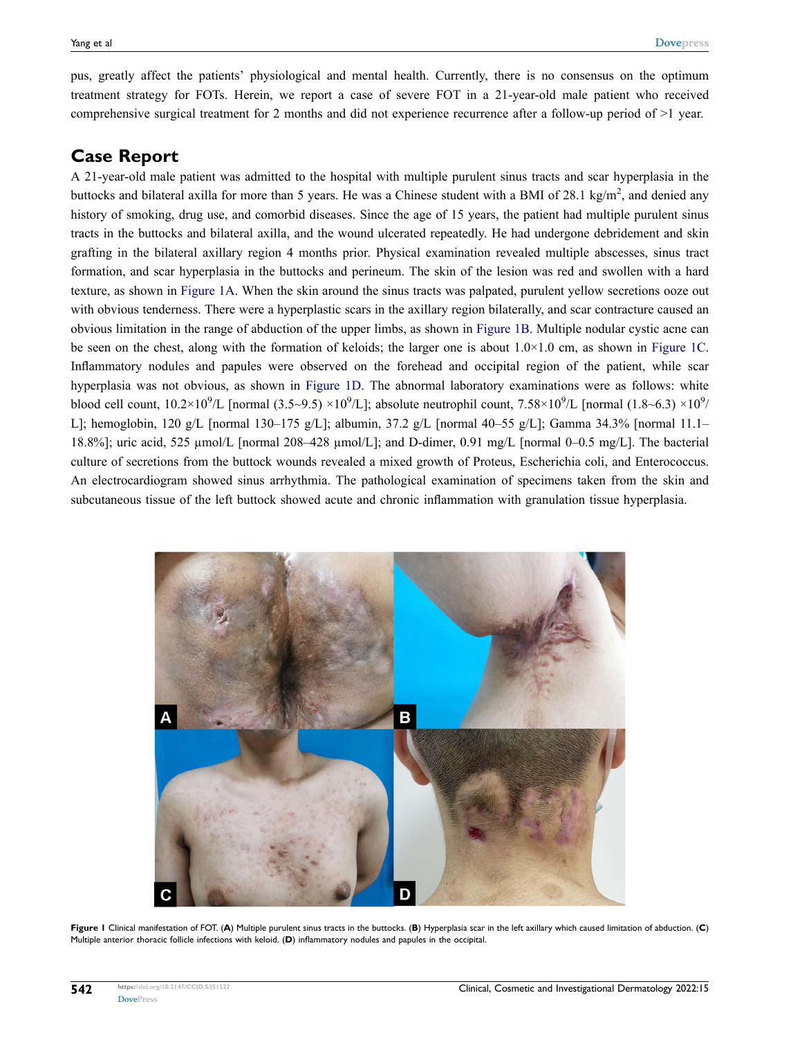pus, greatly affect the patients' physiological and mental health. Currently, there is no consensus on the optimum treatment strategy for FOTs. Herein, we report a case of severe FOT in a 21-year-old male patient who received comprehensive surgical treatment for 2 months and did not experience recurrence after a follow-up period of >1 year.

### **Case Report**

A 21-year-old male patient was admitted to the hospital with multiple purulent sinus tracts and scar hyperplasia in the buttocks and bilateral axilla for more than 5 years. He was a Chinese student with a BMI of 28.1 kg/m<sup>2</sup>, and denied any history of smoking, drug use, and comorbid diseases. Since the age of 15 years, the patient had multiple purulent sinus tracts in the buttocks and bilateral axilla, and the wound ulcerated repeatedly. He had undergone debridement and skin grafting in the bilateral axillary region 4 months prior. Physical examination revealed multiple abscesses, sinus tract formation, and scar hyperplasia in the buttocks and perineum. The skin of the lesion was red and swollen with a hard texture, as shown in [Figure 1A](#page-1-0). When the skin around the sinus tracts was palpated, purulent yellow secretions ooze out with obvious tenderness. There were a hyperplastic scars in the axillary region bilaterally, and scar contracture caused an obvious limitation in the range of abduction of the upper limbs, as shown in [Figure 1B](#page-1-0). Multiple nodular cystic acne can be seen on the chest, along with the formation of keloids; the larger one is about  $1.0\times1.0$  cm, as shown in [Figure 1C.](#page-1-0) Inflammatory nodules and papules were observed on the forehead and occipital region of the patient, while scar hyperplasia was not obvious, as shown in [Figure 1D.](#page-1-0) The abnormal laboratory examinations were as follows: white blood cell count,  $10.2 \times 10^9$ /L [normal (3.5~9.5)  $\times 10^9$ /L]; absolute neutrophil count, 7.58 $\times 10^9$ /L [normal (1.8~6.3)  $\times 10^9$ / L]; hemoglobin, 120 g/L [normal 130–175 g/L]; albumin, 37.2 g/L [normal 40–55 g/L]; Gamma 34.3% [normal 11.1– 18.8%]; uric acid, 525 µmol/L [normal 208–428 µmol/L]; and D-dimer, 0.91 mg/L [normal 0–0.5 mg/L]. The bacterial culture of secretions from the buttock wounds revealed a mixed growth of Proteus, Escherichia coli, and Enterococcus. An electrocardiogram showed sinus arrhythmia. The pathological examination of specimens taken from the skin and subcutaneous tissue of the left buttock showed acute and chronic inflammation with granulation tissue hyperplasia.

<span id="page-1-0"></span>

**Figure 1** Clinical manifestation of FOT. (**A**) Multiple purulent sinus tracts in the buttocks. (**B**) Hyperplasia scar in the left axillary which caused limitation of abduction. (**C**) Multiple anterior thoracic follicle infections with keloid. (**D**) inflammatory nodules and papules in the occipital.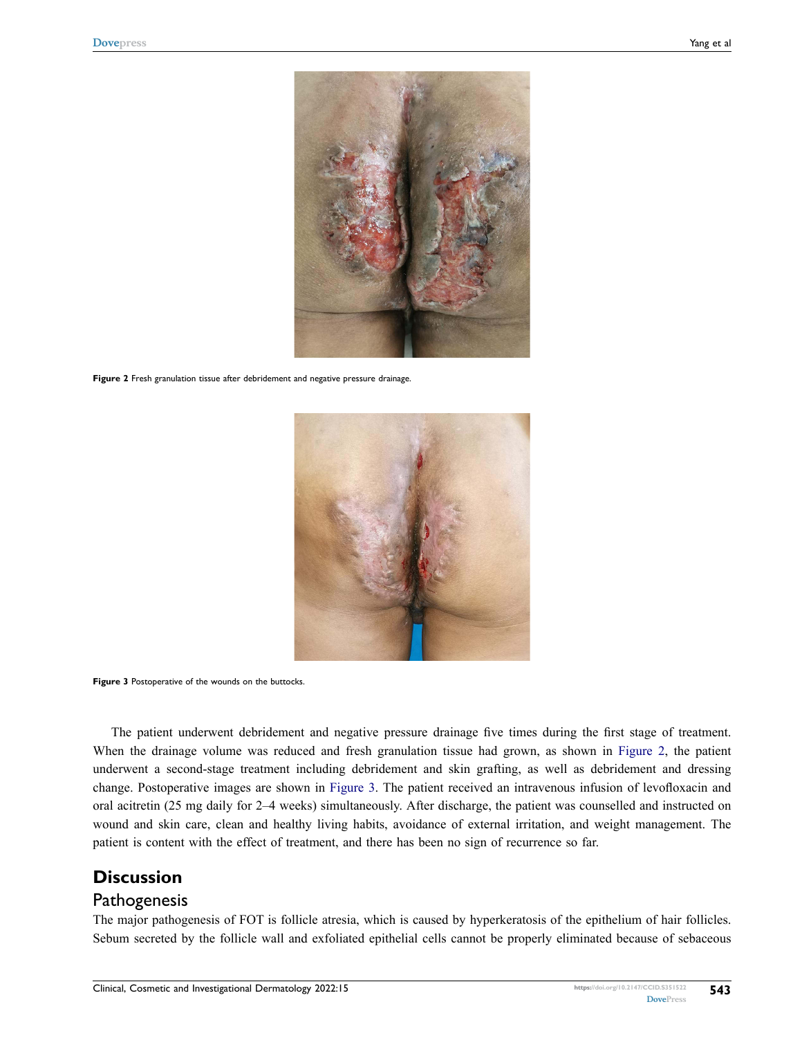<span id="page-2-0"></span>

Figure 2 Fresh granulation tissue after debridement and negative pressure drainage.

<span id="page-2-1"></span>

**Figure 3** Postoperative of the wounds on the buttocks.

The patient underwent debridement and negative pressure drainage five times during the first stage of treatment. When the drainage volume was reduced and fresh granulation tissue had grown, as shown in [Figure 2,](#page-2-0) the patient underwent a second-stage treatment including debridement and skin grafting, as well as debridement and dressing change. Postoperative images are shown in [Figure 3](#page-2-1). The patient received an intravenous infusion of levofloxacin and oral acitretin (25 mg daily for 2–4 weeks) simultaneously. After discharge, the patient was counselled and instructed on wound and skin care, clean and healthy living habits, avoidance of external irritation, and weight management. The patient is content with the effect of treatment, and there has been no sign of recurrence so far.

## **Discussion**

#### **Pathogenesis**

The major pathogenesis of FOT is follicle atresia, which is caused by hyperkeratosis of the epithelium of hair follicles. Sebum secreted by the follicle wall and exfoliated epithelial cells cannot be properly eliminated because of sebaceous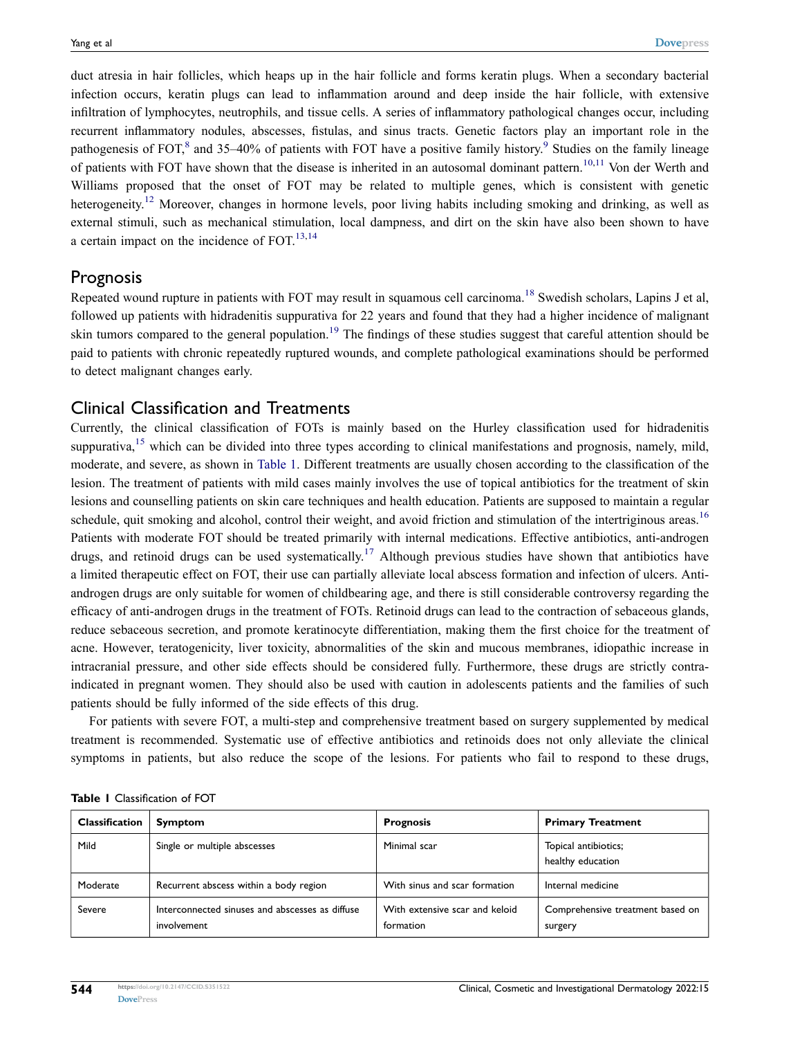<span id="page-3-2"></span><span id="page-3-1"></span>duct atresia in hair follicles, which heaps up in the hair follicle and forms keratin plugs. When a secondary bacterial infection occurs, keratin plugs can lead to inflammation around and deep inside the hair follicle, with extensive infiltration of lymphocytes, neutrophils, and tissue cells. A series of inflammatory pathological changes occur, including recurrent inflammatory nodules, abscesses, fistulas, and sinus tracts. Genetic factors play an important role in the pathogenesis of FOT, $^8$  and 35–40% of patients with FOT have a positive family history.<sup>[9](#page-5-3)</sup> Studies on the family lineage of patients with FOT have shown that the disease is inherited in an autosomal dominant pattern.<sup>[10,](#page-5-4)[11](#page-5-5)</sup> Von der Werth and Williams proposed that the onset of FOT may be related to multiple genes, which is consistent with genetic heterogeneity.<sup>12</sup> Moreover, changes in hormone levels, poor living habits including smoking and drinking, as well as external stimuli, such as mechanical stimulation, local dampness, and dirt on the skin have also been shown to have a certain impact on the incidence of  $FOT$ <sup>13,[14](#page-5-8)</sup>

#### <span id="page-3-4"></span><span id="page-3-3"></span>Prognosis

<span id="page-3-9"></span><span id="page-3-8"></span>Repeated wound rupture in patients with FOT may result in squamous cell carcinoma.<sup>[18](#page-5-9)</sup> Swedish scholars, Lapins J et al. followed up patients with hidradenitis suppurativa for 22 years and found that they had a higher incidence of malignant skin tumors compared to the general population.<sup>[19](#page-5-10)</sup> The findings of these studies suggest that careful attention should be paid to patients with chronic repeatedly ruptured wounds, and complete pathological examinations should be performed to detect malignant changes early.

#### Clinical Classification and Treatments

<span id="page-3-7"></span><span id="page-3-6"></span><span id="page-3-5"></span>Currently, the clinical classification of FOTs is mainly based on the Hurley classification used for hidradenitis suppurativa,<sup>15</sup> which can be divided into three types according to clinical manifestations and prognosis, namely, mild, moderate, and severe, as shown in [Table 1.](#page-3-0) Different treatments are usually chosen according to the classification of the lesion. The treatment of patients with mild cases mainly involves the use of topical antibiotics for the treatment of skin lesions and counselling patients on skin care techniques and health education. Patients are supposed to maintain a regular schedule, quit smoking and alcohol, control their weight, and avoid friction and stimulation of the intertriginous areas.<sup>[16](#page-5-12)</sup> Patients with moderate FOT should be treated primarily with internal medications. Effective antibiotics, anti-androgen drugs, and retinoid drugs can be used systematically.<sup>[17](#page-5-13)</sup> Although previous studies have shown that antibiotics have a limited therapeutic effect on FOT, their use can partially alleviate local abscess formation and infection of ulcers. Antiandrogen drugs are only suitable for women of childbearing age, and there is still considerable controversy regarding the efficacy of anti-androgen drugs in the treatment of FOTs. Retinoid drugs can lead to the contraction of sebaceous glands, reduce sebaceous secretion, and promote keratinocyte differentiation, making them the first choice for the treatment of acne. However, teratogenicity, liver toxicity, abnormalities of the skin and mucous membranes, idiopathic increase in intracranial pressure, and other side effects should be considered fully. Furthermore, these drugs are strictly contraindicated in pregnant women. They should also be used with caution in adolescents patients and the families of such patients should be fully informed of the side effects of this drug.

For patients with severe FOT, a multi-step and comprehensive treatment based on surgery supplemented by medical treatment is recommended. Systematic use of effective antibiotics and retinoids does not only alleviate the clinical symptoms in patients, but also reduce the scope of the lesions. For patients who fail to respond to these drugs,

| <b>Classification</b> | <b>Symptom</b>                                                 | <b>Prognosis</b>                            | <b>Primary Treatment</b>                    |
|-----------------------|----------------------------------------------------------------|---------------------------------------------|---------------------------------------------|
| Mild                  | Single or multiple abscesses                                   | Minimal scar                                | Topical antibiotics;<br>healthy education   |
| Moderate              | Recurrent abscess within a body region                         | With sinus and scar formation               | Internal medicine                           |
| Severe                | Interconnected sinuses and abscesses as diffuse<br>involvement | With extensive scar and keloid<br>formation | Comprehensive treatment based on<br>surgery |

<span id="page-3-0"></span>**Table 1** Classification of FOT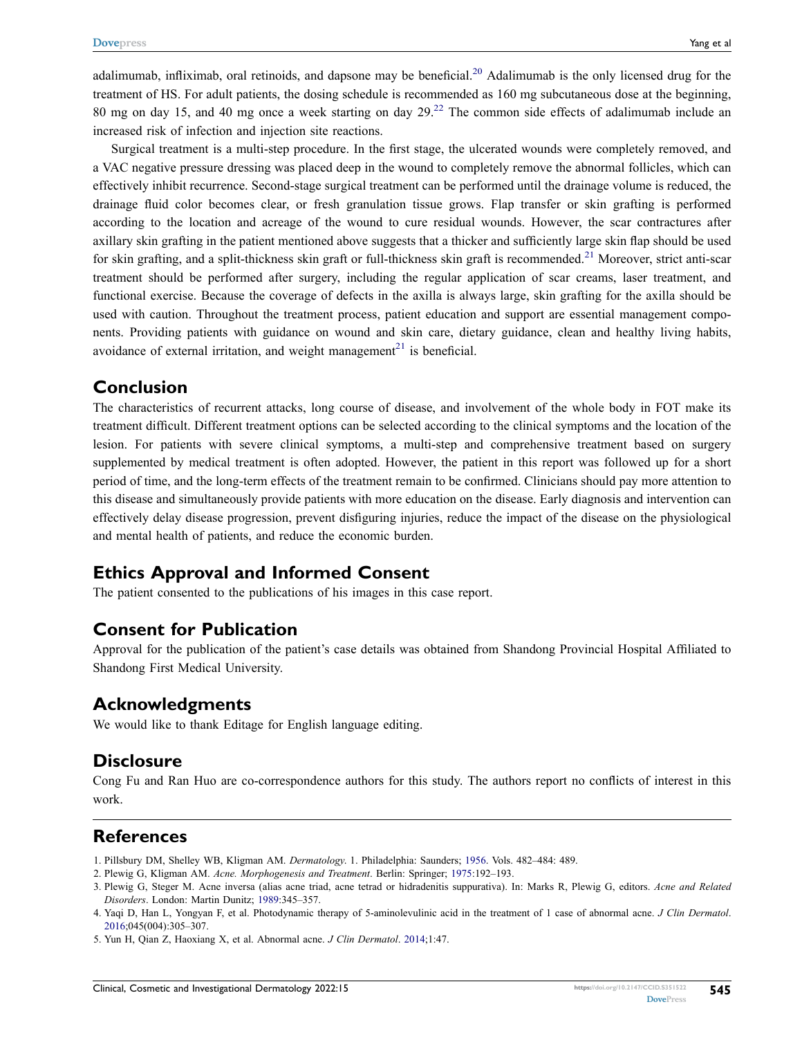<span id="page-4-7"></span><span id="page-4-5"></span>adalimumab, infliximab, oral retinoids, and dapsone may be beneficial.<sup>[20](#page-5-14)</sup> Adalimumab is the only licensed drug for the treatment of HS. For adult patients, the dosing schedule is recommended as 160 mg subcutaneous dose at the beginning, 80 mg on day 15, and 40 mg once a week starting on day  $29<sup>22</sup>$  The common side effects of adalimumab include an increased risk of infection and injection site reactions.

Surgical treatment is a multi-step procedure. In the first stage, the ulcerated wounds were completely removed, and a VAC negative pressure dressing was placed deep in the wound to completely remove the abnormal follicles, which can effectively inhibit recurrence. Second-stage surgical treatment can be performed until the drainage volume is reduced, the drainage fluid color becomes clear, or fresh granulation tissue grows. Flap transfer or skin grafting is performed according to the location and acreage of the wound to cure residual wounds. However, the scar contractures after axillary skin grafting in the patient mentioned above suggests that a thicker and sufficiently large skin flap should be used for skin grafting, and a split-thickness skin graft or full-thickness skin graft is recommended.<sup>[21](#page-5-16)</sup> Moreover, strict anti-scar treatment should be performed after surgery, including the regular application of scar creams, laser treatment, and functional exercise. Because the coverage of defects in the axilla is always large, skin grafting for the axilla should be used with caution. Throughout the treatment process, patient education and support are essential management components. Providing patients with guidance on wound and skin care, dietary guidance, clean and healthy living habits, avoidance of external irritation, and weight management<sup>21</sup> is beneficial.

#### <span id="page-4-6"></span>**Conclusion**

The characteristics of recurrent attacks, long course of disease, and involvement of the whole body in FOT make its treatment difficult. Different treatment options can be selected according to the clinical symptoms and the location of the lesion. For patients with severe clinical symptoms, a multi-step and comprehensive treatment based on surgery supplemented by medical treatment is often adopted. However, the patient in this report was followed up for a short period of time, and the long-term effects of the treatment remain to be confirmed. Clinicians should pay more attention to this disease and simultaneously provide patients with more education on the disease. Early diagnosis and intervention can effectively delay disease progression, prevent disfiguring injuries, reduce the impact of the disease on the physiological and mental health of patients, and reduce the economic burden.

#### **Ethics Approval and Informed Consent**

The patient consented to the publications of his images in this case report.

#### **Consent for Publication**

Approval for the publication of the patient's case details was obtained from Shandong Provincial Hospital Affiliated to Shandong First Medical University.

#### **Acknowledgments**

We would like to thank Editage for English language editing.

#### **Disclosure**

Cong Fu and Ran Huo are co-correspondence authors for this study. The authors report no conflicts of interest in this work.

#### **References**

- <span id="page-4-0"></span>1. Pillsbury DM, Shelley WB, Kligman AM. *Dermatology*. 1. Philadelphia: Saunders; [1956](#page-0-2). Vols. 482–484: 489.
- <span id="page-4-1"></span>2. Plewig G, Kligman AM. *Acne. Morphogenesis and Treatment*. Berlin: Springer; [1975:](#page-0-2)192–193.
- <span id="page-4-2"></span>3. Plewig G, Steger M. Acne inversa (alias acne triad, acne tetrad or hidradenitis suppurativa). In: Marks R, Plewig G, editors. *Acne and Related Disorders*. London: Martin Dunitz; [1989:](#page-0-3)345–357.
- <span id="page-4-3"></span>4. Yaqi D, Han L, Yongyan F, et al. Photodynamic therapy of 5-aminolevulinic acid in the treatment of 1 case of abnormal acne. *J Clin Dermatol*. [2016;](#page-0-4)045(004):305–307.
- <span id="page-4-4"></span>5. Yun H, Qian Z, Haoxiang X, et al. Abnormal acne. *J Clin Dermatol*. [2014;](#page-0-5)1:47.